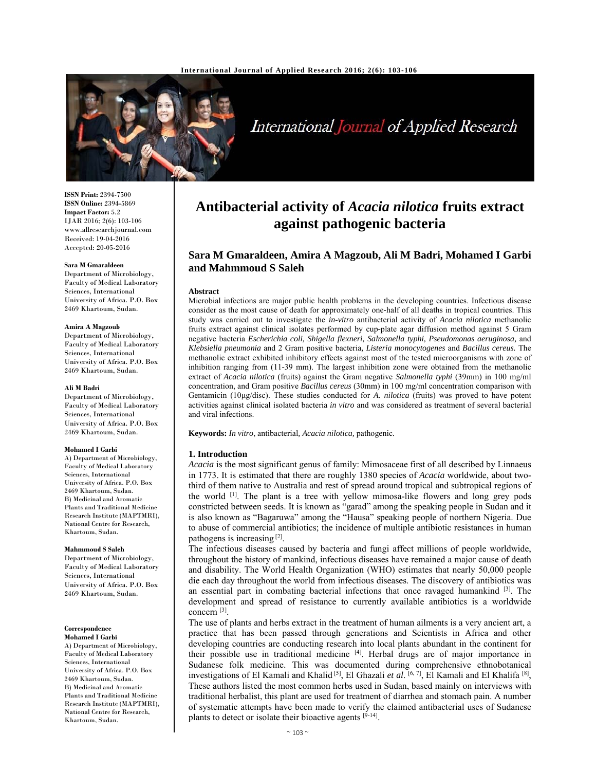

# International Journal of Applied Research

**ISSN Print:** 2394-7500 **ISSN Online:** 2394-5869 **Impact Factor:** 5.2 IJAR 2016; 2(6): 103-106 www.allresearchjournal.com Received: 19-04-2016 Accepted: 20-05-2016

#### **Sara M Gmaraldeen**

Department of Microbiology, Faculty of Medical Laboratory Sciences, International University of Africa. P.O. Box 2469 Khartoum, Sudan.

#### **Amira A Magzoub**

Department of Microbiology, Faculty of Medical Laboratory Sciences, International University of Africa. P.O. Box 2469 Khartoum, Sudan.

#### **Ali M Badri**

Department of Microbiology, Faculty of Medical Laboratory Sciences, International University of Africa. P.O. Box 2469 Khartoum, Sudan.

#### **Mohamed I Garbi**

A) Department of Microbiology, Faculty of Medical Laboratory Sciences, International University of Africa. P.O. Box 2469 Khartoum, Sudan. B) Medicinal and Aromatic Plants and Traditional Medicine Research Institute (MAPTMRI), National Centre for Research, Khartoum, Sudan.

#### **Mahmmoud S Saleh**

Department of Microbiology, Faculty of Medical Laboratory Sciences, International University of Africa. P.O. Box 2469 Khartoum, Sudan.

#### **Correspondence Mohamed I Garbi**

A) Department of Microbiology, Faculty of Medical Laboratory Sciences, International University of Africa. P.O. Box 2469 Khartoum, Sudan. B) Medicinal and Aromatic Plants and Traditional Medicine Research Institute (MAPTMRI), National Centre for Research, Khartoum, Sudan.

# **Antibacterial activity of** *Acacia nilotica* **fruits extract against pathogenic bacteria**

## **Sara M Gmaraldeen, Amira A Magzoub, Ali M Badri, Mohamed I Garbi and Mahmmoud S Saleh**

#### **Abstract**

Microbial infections are major public health problems in the developing countries. Infectious disease consider as the most cause of death for approximately one-half of all deaths in tropical countries. This study was carried out to investigate the *in-vitro* antibacterial activity of *Acacia nilotica* methanolic fruits extract against clinical isolates performed by cup-plate agar diffusion method against 5 Gram negative bacteria *Escherichia coli, Shigella flexneri, Salmonella typhi, Pseudomonas aeruginosa,* and *Klebsiella pneumonia* and 2 Gram positive bacteria*, Listeria monocytogenes* and *Bacillus cereus.* The methanolic extract exhibited inhibitory effects against most of the tested microorganisms with zone of inhibition ranging from (11-39 mm). The largest inhibition zone were obtained from the methanolic extract of *Acacia nilotica* (fruits) against the Gram negative *Salmonella typhi* (39mm) in 100 mg/ml concentration, and Gram positive *Bacillus cereus* (30mm) in 100 mg/ml concentration comparison with Gentamicin (10μg/disc). These studies conducted for *A. nilotica* (fruits) was proved to have potent activities against clinical isolated bacteria *in vitro* and was considered as treatment of several bacterial and viral infections.

**Keywords:** *In vitro*, antibacterial*, Acacia nilotica,* pathogenic*.*

### **1. Introduction**

*Acacia* is the most significant genus of family: Mimosaceae first of all described by Linnaeus in 1773. It is estimated that there are roughly 1380 species of *Acacia* worldwide, about twothird of them native to Australia and rest of spread around tropical and subtropical regions of the world [1]. The plant is a tree with yellow mimosa-like flowers and long grey pods constricted between seeds. It is known as "garad" among the speaking people in Sudan and it is also known as "Bagaruwa" among the "Hausa" speaking people of northern Nigeria. Due to abuse of commercial antibiotics; the incidence of multiple antibiotic resistances in human pathogens is increasing [2].

The infectious diseases caused by bacteria and fungi affect millions of people worldwide, throughout the history of mankind, infectious diseases have remained a major cause of death and disability. The World Health Organization (WHO) estimates that nearly 50,000 people die each day throughout the world from infectious diseases. The discovery of antibiotics was an essential part in combating bacterial infections that once ravaged humankind  $[3]$ . The development and spread of resistance to currently available antibiotics is a worldwide concern [3].

The use of plants and herbs extract in the treatment of human ailments is a very ancient art, a practice that has been passed through generations and Scientists in Africa and other developing countries are conducting research into local plants abundant in the continent for their possible use in traditional medicine [4]. Herbal drugs are of major importance in Sudanese folk medicine. This was documented during comprehensive ethnobotanical investigations of El Kamali and Khalid [5], El Ghazali *et al*. [6, 7], El Kamali and El Khalifa [8], These authors listed the most common herbs used in Sudan, based mainly on interviews with traditional herbalist, this plant are used for treatment of diarrhea and stomach pain. A number of systematic attempts have been made to verify the claimed antibacterial uses of Sudanese plants to detect or isolate their bioactive agents  $[9-14]$ .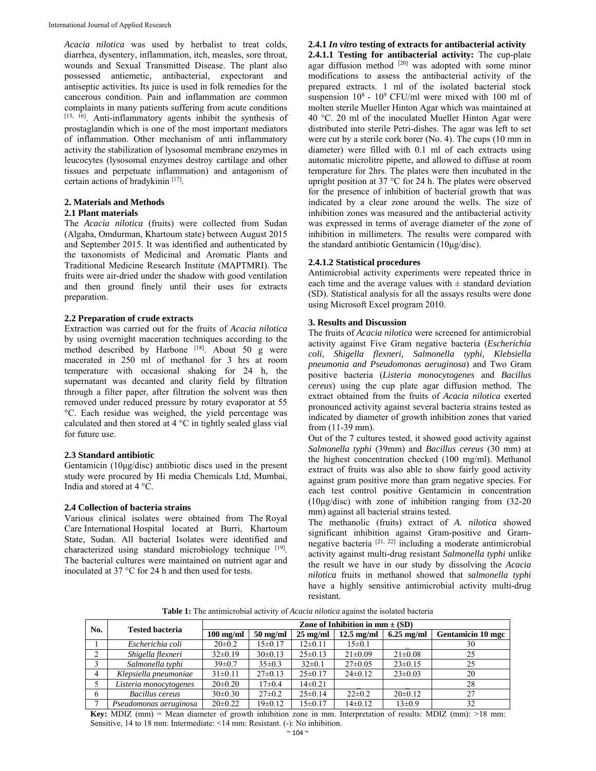*Acacia nilotica* was used by herbalist to treat colds, diarrhea, dysentery, inflammation, itch, measles, sore throat, wounds and Sexual Transmitted Disease. The plant also possessed antiemetic, antibacterial, expectorant and antiseptic activities. Its juice is used in folk remedies for the cancerous condition. Pain and inflammation are common complaints in many patients suffering from acute conditions [15, 16]. Anti-inflammatory agents inhibit the synthesis of prostaglandin which is one of the most important mediators of inflammation. Other mechanism of anti inflammatory activity the stabilization of lysosomal membrane enzymes in leucocytes (lysosomal enzymes destroy cartilage and other tissues and perpetuate inflammation) and antagonism of certain actions of bradykinin [17].

## **2. Materials and Methods**

## **2.1 Plant materials**

The *Acacia nilotica* (fruits) were collected from Sudan (Algaba, Omdurman, Khartoum state) between August 2015 and September 2015. It was identified and authenticated by the taxonomists of Medicinal and Aromatic Plants and Traditional Medicine Research Institute (MAPTMRI). The fruits were air-dried under the shadow with good ventilation and then ground finely until their uses for extracts preparation.

#### **2.2 Preparation of crude extracts**

Extraction was carried out for the fruits of *Acacia nilotica* by using overnight maceration techniques according to the method described by Harbone [18]. About 50 g were macerated in 250 ml of methanol for 3 hrs at room temperature with occasional shaking for 24 h, the supernatant was decanted and clarity field by filtration through a filter paper, after filtration the solvent was then removed under reduced pressure by rotary evaporator at 55 °C. Each residue was weighed, the yield percentage was calculated and then stored at 4 °C in tightly sealed glass vial for future use.

### **2.3 Standard antibiotic**

Gentamicin (10μg/disc) antibiotic discs used in the present study were procured by Hi media Chemicals Ltd, Mumbai, India and stored at 4 °C.

#### **2.4 Collection of bacteria strains**

Various clinical isolates were obtained from The Royal Care International Hospital located at Burri, Khartoum State, Sudan. All bacterial Isolates were identified and characterized using standard microbiology technique [19]. The bacterial cultures were maintained on nutrient agar and inoculated at 37 °C for 24 h and then used for tests.

## **2.4.1** *In vitro* **testing of extracts for antibacterial activity**

**2.4.1.1 Testing for antibacterial activity:** The cup-plate agar diffusion method [20] was adopted with some minor modifications to assess the antibacterial activity of the prepared extracts. 1 ml of the isolated bacterial stock suspension  $10^8 \text{ - } 10^9$  CFU/ml were mixed with 100 ml of molten sterile Mueller Hinton Agar which was maintained at 40 °C. 20 ml of the inoculated Mueller Hinton Agar were distributed into sterile Petri-dishes. The agar was left to set were cut by a sterile cork borer (No. 4). The cups (10 mm in diameter) were filled with 0.1 ml of each extracts using automatic microlitre pipette, and allowed to diffuse at room temperature for 2hrs. The plates were then incubated in the upright position at 37 °C for 24 h. The plates were observed for the presence of inhibition of bacterial growth that was indicated by a clear zone around the wells. The size of inhibition zones was measured and the antibacterial activity was expressed in terms of average diameter of the zone of inhibition in millimeters. The results were compared with the standard antibiotic Gentamicin (10μg/disc).

## **2.4.1.2 Statistical procedures**

Antimicrobial activity experiments were repeated thrice in each time and the average values with  $\pm$  standard deviation (SD). Statistical analysis for all the assays results were done using Microsoft Excel program 2010.

### **3. Results and Discussion**

The fruits of *Acacia nilotica* were screened for antimicrobial activity against Five Gram negative bacteria (*Escherichia coli*, *Shigella flexneri, Salmonella typhi, Klebsiella pneumonia and Pseudomonas aeruginosa*) and Two Gram positive bacteria (*Listeria monocytogenes* and *Bacillus cereus*) using the cup plate agar diffusion method. The extract obtained from the fruits of *Acacia nilotica* exerted pronounced activity against several bacteria strains tested as indicated by diameter of growth inhibition zones that varied from (11-39 mm).

Out of the 7 cultures tested, it showed good activity against *Salmonella typhi* (39mm) and *Bacillus cereus* (30 mm) at the highest concentration checked (100 mg/ml). Methanol extract of fruits was also able to show fairly good activity against gram positive more than gram negative species. For each test control positive Gentamicin in concentration (10μg/disc) with zone of inhibition ranging from (32-20 mm) against all bacterial strains tested.

The methanolic (fruits) extract of *A. nilotica* showed significant inhibition against Gram-positive and Gramnegative bacteria [21, 22] including a moderate antimicrobial activity against multi-drug resistant *Salmonella typhi* unlike the result we have in our study by dissolving the *Acacia nilotica* fruits in methanol showed that *salmonella typhi* have a highly sensitive antimicrobial activity multi-drug resistant*.*

**Table 1:** The antimicrobial activity of *Acacia nilotica* against the isolated bacteria

| No.            | <b>Tested bacteria</b> | Zone of Inhibition in mm $\pm$ (SD) |                    |                    |                      |               |                   |
|----------------|------------------------|-------------------------------------|--------------------|--------------------|----------------------|---------------|-------------------|
|                |                        | $100$ mg/ml                         | $50 \text{ mg/ml}$ | $25 \text{ mg/ml}$ | $12.5 \text{ mg/ml}$ | $6.25$ mg/ml  | Gentamicin 10 mgc |
|                | Escherichia coli       | $20 \pm 0.2$                        | $15 \pm 0.17$      | $12\pm0.11$        | $15 \pm 0.1$         |               | 30                |
| 2              | Shigella flexneri      | $32\pm0.19$                         | $30\pm0.13$        | $25 \pm 0.13$      | $21 \pm 0.09$        | $21 \pm 0.08$ | 25                |
| 3              | Salmonella typhi       | $39 \pm 0.7$                        | $35 \pm 0.3$       | $32\pm0.1$         | $27 \pm 0.05$        | $23 \pm 0.15$ | 25                |
| $\overline{4}$ | Klepsiella pneumoniae  | $31\pm0.11$                         | $27 \pm 0.13$      | $25 \pm 0.17$      | $24\pm0.12$          | $23 \pm 0.03$ | 20                |
|                | Listeria monocytogenes | $20\pm0.20$                         | 17 <sub>±0.4</sub> | $14\pm0.21$        |                      |               | 28                |
| 6              | Bacillus cereus        | $30\pm0.30$                         | $27 \pm 0.2$       | $25 \pm 0.14$      | $22 \pm 0.2$         | $20\pm 0.12$  | 27                |
|                | Pseudomonas aeruginosa | $20 \pm 0.22$                       | $19 \pm 0.12$      | $15 \pm 0.17$      | $14\pm0.12$          | $13\pm0.9$    | 32                |

**Key:** MDIZ (mm) = Mean diameter of growth inhibition zone in mm. Interpretation of results: MDIZ (mm): >18 mm: Sensitive, 14 to 18 mm: Intermediate: <14 mm: Resistant. (-): No inhibition.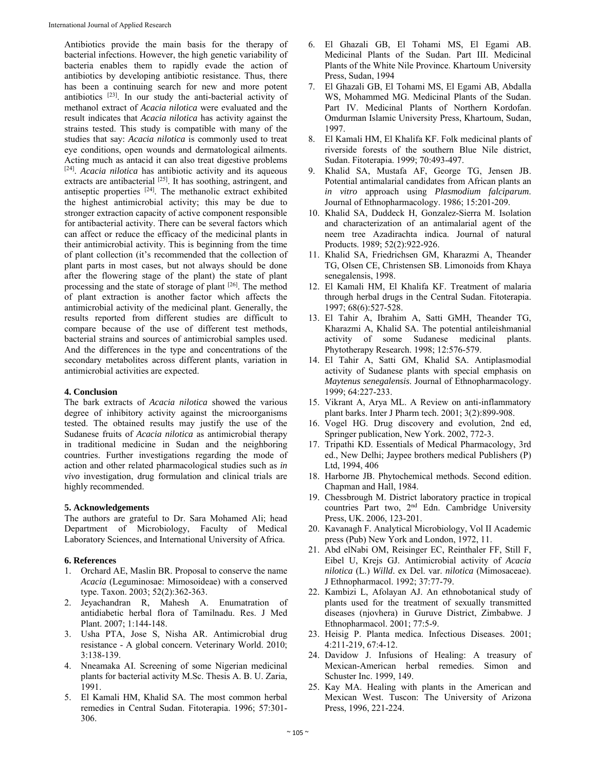Antibiotics provide the main basis for the therapy of bacterial infections. However, the high genetic variability of bacteria enables them to rapidly evade the action of antibiotics by developing antibiotic resistance. Thus, there has been a continuing search for new and more potent antibiotics [23]. In our study the anti-bacterial activity of methanol extract of *Acacia nilotica* were evaluated and the result indicates that *Acacia nilotica* has activity against the strains tested. This study is compatible with many of the studies that say: *Acacia nilotica* is commonly used to treat eye conditions, open wounds and dermatological ailments. Acting much as antacid it can also treat digestive problems [24]. *Acacia nilotica* has antibiotic activity and its aqueous extracts are antibacterial <sup>[25]</sup>. It has soothing, astringent, and antiseptic properties [24]. The methanolic extract exhibited the highest antimicrobial activity; this may be due to stronger extraction capacity of active component responsible for antibacterial activity. There can be several factors which can affect or reduce the efficacy of the medicinal plants in their antimicrobial activity. This is beginning from the time of plant collection (it's recommended that the collection of plant parts in most cases, but not always should be done after the flowering stage of the plant) the state of plant processing and the state of storage of plant [26]. The method of plant extraction is another factor which affects the antimicrobial activity of the medicinal plant. Generally, the results reported from different studies are difficult to compare because of the use of different test methods, bacterial strains and sources of antimicrobial samples used. And the differences in the type and concentrations of the secondary metabolites across different plants, variation in antimicrobial activities are expected.

### **4. Conclusion**

The bark extracts of *Acacia nilotica* showed the various degree of inhibitory activity against the microorganisms tested. The obtained results may justify the use of the Sudanese fruits of *Acacia nilotica* as antimicrobial therapy in traditional medicine in Sudan and the neighboring countries. Further investigations regarding the mode of action and other related pharmacological studies such as *in vivo* investigation, drug formulation and clinical trials are highly recommended.

## **5. Acknowledgements**

The authors are grateful to Dr. Sara Mohamed Ali; head Department of Microbiology, Faculty of Medical Laboratory Sciences, and International University of Africa.

## **6. References**

- 1. Orchard AE, Maslin BR. Proposal to conserve the name *Acacia* (Leguminosae: Mimosoideae) with a conserved type. Taxon. 2003; 52(2):362-363.
- 2. Jeyachandran R, Mahesh A. Enumatration of antidiabetic herbal flora of Tamilnadu. Res. J Med Plant. 2007; 1:144-148.
- 3. Usha PTA, Jose S, Nisha AR. Antimicrobial drug resistance - A global concern. Veterinary World. 2010; 3:138-139.
- 4. Nneamaka AI. Screening of some Nigerian medicinal plants for bacterial activity M.Sc. Thesis A. B. U. Zaria, 1991.
- 5. El Kamali HM, Khalid SA. The most common herbal remedies in Central Sudan. Fitoterapia. 1996; 57:301- 306.
- 6. El Ghazali GB, El Tohami MS, El Egami AB. Medicinal Plants of the Sudan. Part III. Medicinal Plants of the White Nile Province. Khartoum University Press, Sudan, 1994
- 7. El Ghazali GB, El Tohami MS, El Egami AB, Abdalla WS, Mohammed MG. Medicinal Plants of the Sudan. Part IV. Medicinal Plants of Northern Kordofan. Omdurman Islamic University Press, Khartoum, Sudan, 1997.
- 8. El Kamali HM, El Khalifa KF. Folk medicinal plants of riverside forests of the southern Blue Nile district, Sudan. Fitoterapia. 1999; 70:493-497.
- 9. Khalid SA, Mustafa AF, George TG, Jensen JB. Potential antimalarial candidates from African plants an *in vitro* approach using *Plasmodium falciparum*. Journal of Ethnopharmacology. 1986; 15:201-209.
- 10. Khalid SA, Duddeck H, Gonzalez-Sierra M. Isolation and characterization of an antimalarial agent of the neem tree Azadirachta indica. Journal of natural Products. 1989; 52(2):922-926.
- 11. Khalid SA, Friedrichsen GM, Kharazmi A, Theander TG, Olsen CE, Christensen SB. Limonoids from Khaya senegalensis, 1998.
- 12. El Kamali HM, El Khalifa KF. Treatment of malaria through herbal drugs in the Central Sudan. Fitoterapia. 1997; 68(6):527-528.
- 13. El Tahir A, Ibrahim A, Satti GMH, Theander TG, Kharazmi A, Khalid SA. The potential antileishmanial activity of some Sudanese medicinal plants. Phytotherapy Research. 1998; 12:576-579.
- 14. El Tahir A, Satti GM, Khalid SA. Antiplasmodial activity of Sudanese plants with special emphasis on *Maytenus senegalensis*. Journal of Ethnopharmacology. 1999; 64:227-233.
- 15. Vikrant A, Arya ML. A Review on anti-inflammatory plant barks. Inter J Pharm tech. 2001; 3(2):899-908.
- 16. Vogel HG. Drug discovery and evolution, 2nd ed, Springer publication, New York. 2002, 772-3.
- 17. Tripathi KD. Essentials of Medical Pharmacology, 3rd ed., New Delhi; Jaypee brothers medical Publishers (P) Ltd, 1994, 406
- 18. Harborne JB. Phytochemical methods. Second edition. Chapman and Hall, 1984.
- 19. Chessbrough M. District laboratory practice in tropical countries Part two, 2nd Edn. Cambridge University Press, UK. 2006, 123-201.
- 20. Kavanagh F. Analytical Microbiology, Vol II Academic press (Pub) New York and London, 1972, 11.
- 21. Abd elNabi OM, Reisinger EC, Reinthaler FF, Still F, Eibel U, Krejs GJ. Antimicrobial activity of *Acacia nilotica* (L.) *Willd*. ex Del. var. *nilotica* (Mimosaceae). J Ethnopharmacol. 1992; 37:77-79.
- 22. Kambizi L, Afolayan AJ. An ethnobotanical study of plants used for the treatment of sexually transmitted diseases (njovhera) in Guruve District, Zimbabwe. J Ethnopharmacol. 2001; 77:5-9.
- 23. Heisig P. Planta medica. Infectious Diseases. 2001; 4:211-219, 67:4-12.
- 24. Davidow J. Infusions of Healing: A treasury of Mexican-American herbal remedies. Simon and Schuster Inc. 1999, 149.
- 25. Kay MA. Healing with plants in the American and Mexican West. Tuscon: The University of Arizona Press, 1996, 221-224.